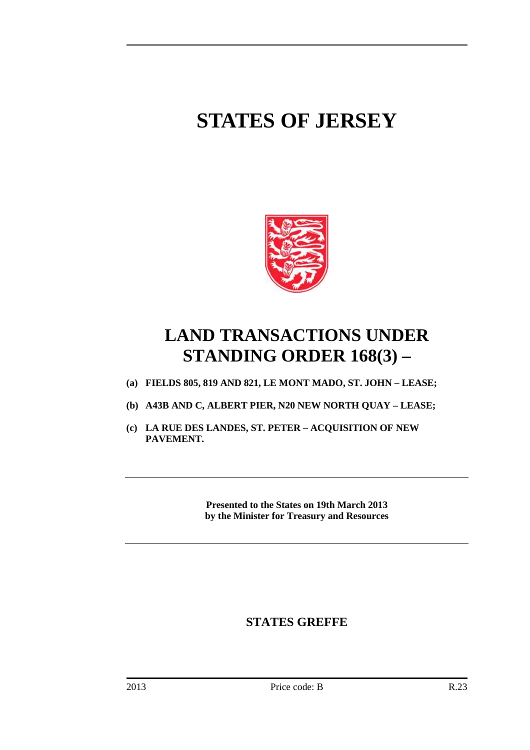# **STATES OF JERSEY**



## **LAND TRANSACTIONS UNDER STANDING ORDER 168(3) –**

- **(a) FIELDS 805, 819 AND 821, LE MONT MADO, ST. JOHN LEASE;**
- **(b) A43B AND C, ALBERT PIER, N20 NEW NORTH QUAY LEASE;**
- **(c) LA RUE DES LANDES, ST. PETER ACQUISITION OF NEW PAVEMENT.**

**Presented to the States on 19th March 2013 by the Minister for Treasury and Resources** 

### **STATES GREFFE**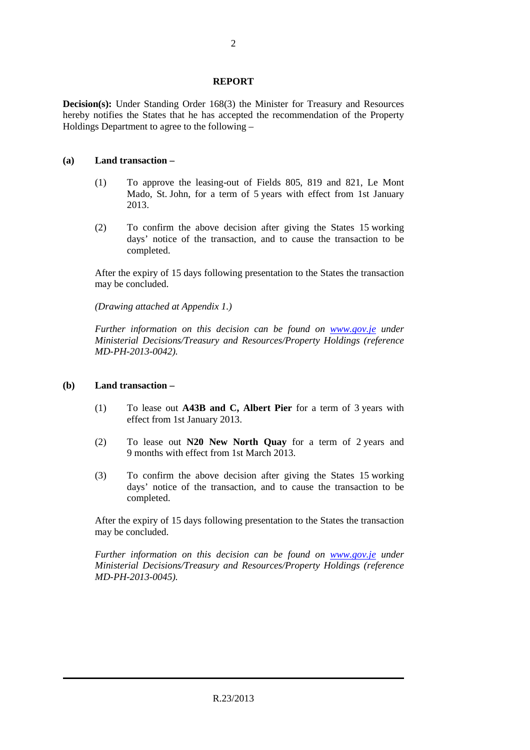#### **REPORT**

**Decision(s):** Under Standing Order 168(3) the Minister for Treasury and Resources hereby notifies the States that he has accepted the recommendation of the Property Holdings Department to agree to the following –

#### **(a) Land transaction –**

- (1) To approve the leasing-out of Fields 805, 819 and 821, Le Mont Mado, St. John, for a term of 5 years with effect from 1st January 2013.
- (2) To confirm the above decision after giving the States 15 working days' notice of the transaction, and to cause the transaction to be completed.

 After the expiry of 15 days following presentation to the States the transaction may be concluded.

 *(Drawing attached at Appendix 1.)* 

 *Further information on this decision can be found on www.gov.je under Ministerial Decisions/Treasury and Resources/Property Holdings (reference MD-PH-2013-0042).* 

#### **(b) Land transaction –**

- (1) To lease out **A43B and C, Albert Pier** for a term of 3 years with effect from 1st January 2013.
- (2) To lease out **N20 New North Quay** for a term of 2 years and 9 months with effect from 1st March 2013.
- (3) To confirm the above decision after giving the States 15 working days' notice of the transaction, and to cause the transaction to be completed.

 After the expiry of 15 days following presentation to the States the transaction may be concluded.

 *Further information on this decision can be found on www.gov.je under Ministerial Decisions/Treasury and Resources/Property Holdings (reference MD-PH-2013-0045).*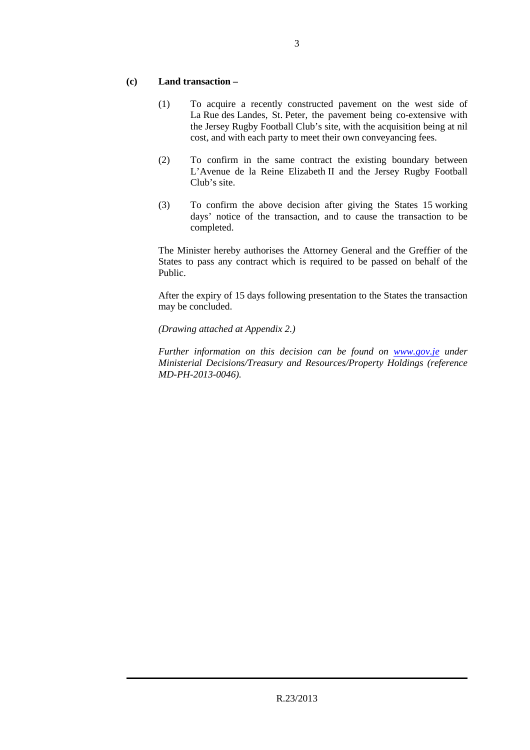#### **(c) Land transaction –**

- (1) To acquire a recently constructed pavement on the west side of La Rue des Landes, St. Peter, the pavement being co-extensive with the Jersey Rugby Football Club's site, with the acquisition being at nil cost, and with each party to meet their own conveyancing fees.
- (2) To confirm in the same contract the existing boundary between L'Avenue de la Reine Elizabeth II and the Jersey Rugby Football Club's site.
- (3) To confirm the above decision after giving the States 15 working days' notice of the transaction, and to cause the transaction to be completed.

 The Minister hereby authorises the Attorney General and the Greffier of the States to pass any contract which is required to be passed on behalf of the Public.

 After the expiry of 15 days following presentation to the States the transaction may be concluded.

 *(Drawing attached at Appendix 2.)* 

 *Further information on this decision can be found on www.gov.je under Ministerial Decisions/Treasury and Resources/Property Holdings (reference MD-PH-2013-0046).*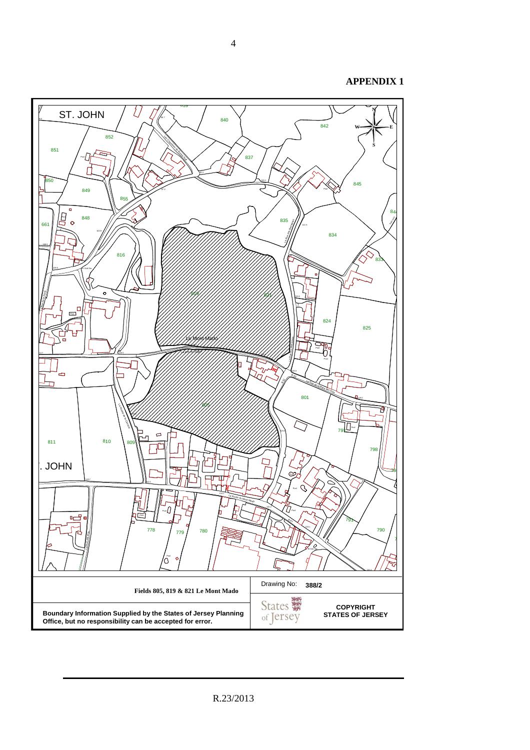**APPENDIX 1**